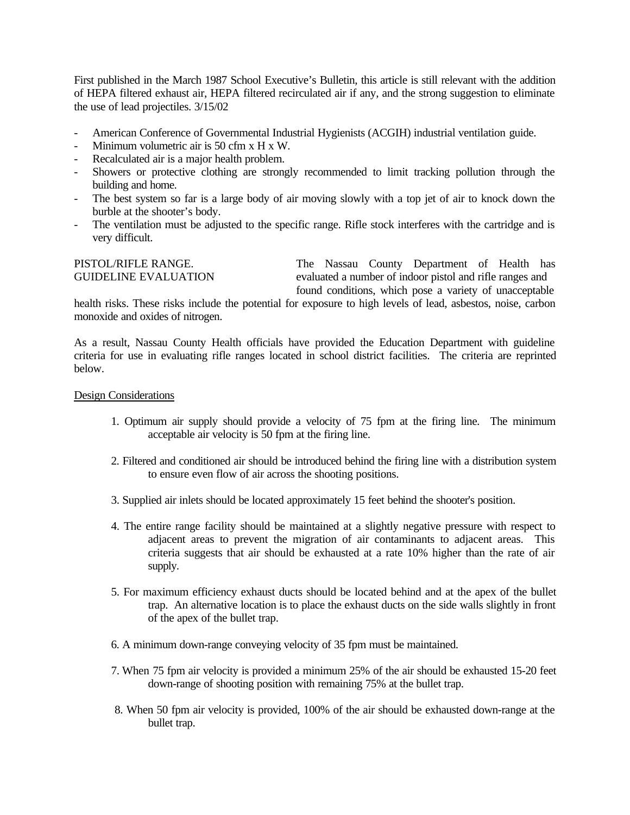First published in the March 1987 School Executive's Bulletin, this article is still relevant with the addition of HEPA filtered exhaust air, HEPA filtered recirculated air if any, and the strong suggestion to eliminate the use of lead projectiles. 3/15/02

- American Conference of Governmental Industrial Hygienists (ACGIH) industrial ventilation guide.
- Minimum volumetric air is 50 cfm x H x W.
- Recalculated air is a major health problem.
- Showers or protective clothing are strongly recommended to limit tracking pollution through the building and home.
- The best system so far is a large body of air moving slowly with a top jet of air to knock down the burble at the shooter's body.
- The ventilation must be adjusted to the specific range. Rifle stock interferes with the cartridge and is very difficult.

## PISTOL/RIFLE RANGE. The Nassau County Department of Health has GUIDELINE EVALUATION evaluated a number of indoor pistol and rifle ranges and found conditions, which pose a variety of unacceptable

health risks. These risks include the potential for exposure to high levels of lead, asbestos, noise, carbon monoxide and oxides of nitrogen.

As a result, Nassau County Health officials have provided the Education Department with guideline criteria for use in evaluating rifle ranges located in school district facilities. The criteria are reprinted below.

## Design Considerations

- 1. Optimum air supply should provide a velocity of 75 fpm at the firing line. The minimum acceptable air velocity is 50 fpm at the firing line.
- 2. Filtered and conditioned air should be introduced behind the firing line with a distribution system to ensure even flow of air across the shooting positions.
- 3. Supplied air inlets should be located approximately 15 feet behind the shooter's position.
- 4. The entire range facility should be maintained at a slightly negative pressure with respect to adjacent areas to prevent the migration of air contaminants to adjacent areas. This criteria suggests that air should be exhausted at a rate 10% higher than the rate of air supply.
- 5. For maximum efficiency exhaust ducts should be located behind and at the apex of the bullet trap. An alternative location is to place the exhaust ducts on the side walls slightly in front of the apex of the bullet trap.
- 6. A minimum down-range conveying velocity of 35 fpm must be maintained.
- 7. When 75 fpm air velocity is provided a minimum 25% of the air should be exhausted 15-20 feet down-range of shooting position with remaining 75% at the bullet trap.
- 8. When 50 fpm air velocity is provided, 100% of the air should be exhausted down-range at the bullet trap.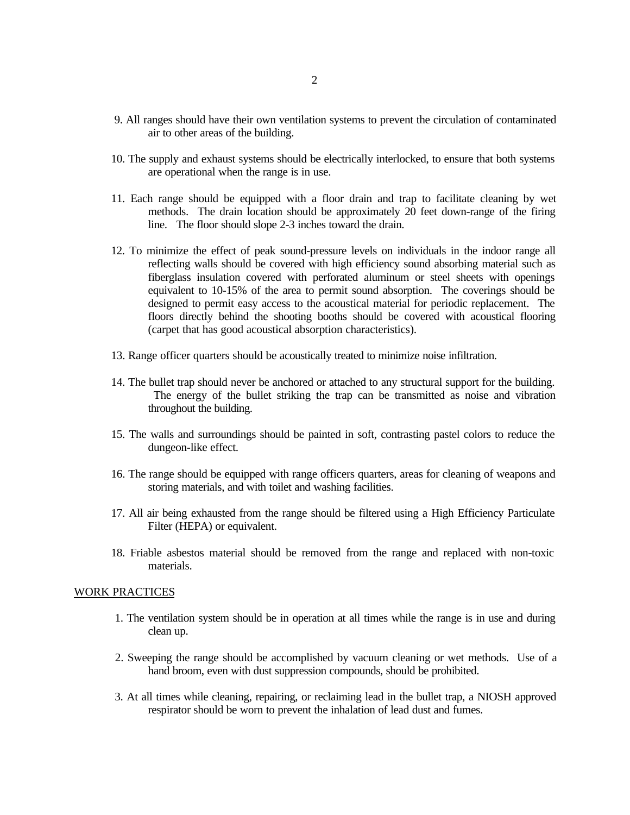- 9. All ranges should have their own ventilation systems to prevent the circulation of contaminated air to other areas of the building.
- 10. The supply and exhaust systems should be electrically interlocked, to ensure that both systems are operational when the range is in use.
- 11. Each range should be equipped with a floor drain and trap to facilitate cleaning by wet methods. The drain location should be approximately 20 feet down-range of the firing line. The floor should slope 2-3 inches toward the drain.
- 12. To minimize the effect of peak sound-pressure levels on individuals in the indoor range all reflecting walls should be covered with high efficiency sound absorbing material such as fiberglass insulation covered with perforated aluminum or steel sheets with openings equivalent to 10-15% of the area to permit sound absorption. The coverings should be designed to permit easy access to the acoustical material for periodic replacement. The floors directly behind the shooting booths should be covered with acoustical flooring (carpet that has good acoustical absorption characteristics).
- 13. Range officer quarters should be acoustically treated to minimize noise infiltration.
- 14. The bullet trap should never be anchored or attached to any structural support for the building. The energy of the bullet striking the trap can be transmitted as noise and vibration throughout the building.
- 15. The walls and surroundings should be painted in soft, contrasting pastel colors to reduce the dungeon-like effect.
- 16. The range should be equipped with range officers quarters, areas for cleaning of weapons and storing materials, and with toilet and washing facilities.
- 17. All air being exhausted from the range should be filtered using a High Efficiency Particulate Filter (HEPA) or equivalent.
- 18. Friable asbestos material should be removed from the range and replaced with non-toxic materials.

## WORK PRACTICES

- 1. The ventilation system should be in operation at all times while the range is in use and during clean up.
- 2. Sweeping the range should be accomplished by vacuum cleaning or wet methods. Use of a hand broom, even with dust suppression compounds, should be prohibited.
- 3. At all times while cleaning, repairing, or reclaiming lead in the bullet trap, a NIOSH approved respirator should be worn to prevent the inhalation of lead dust and fumes.